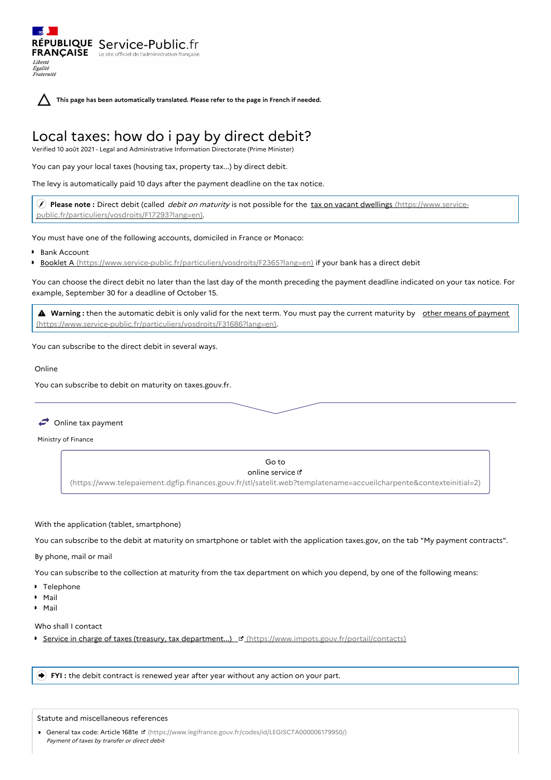**This page has been automatically translated. Please refer to the page in French if needed.**

# Local taxes: how do i pay by direct debit?

Verified 10 août 2021 - Legal and Administrative Information Directorate (Prime Minister)

You can pay your local taxes (housing tax, property tax...) by direct debit.

RÉPUBLIQUE Service-Public.fr **FRANÇAISE** Le site officiel de l'administration fran

The levy is automatically paid 10 days after the payment deadline on the tax notice.

 **Please note :** Direct debit (called debit on maturity is not possible for the tax on vacant dwellings (https://www.service[public.fr/particuliers/vosdroits/F17293?lang=en\).](https://www.service-public.fr/particuliers/vosdroits/F17293?lang=en)

You must have one of the following accounts, domiciled in France or Monaco:

Bank Account

Liberté Égalité<br>Fraternité

Booklet A [\(https://www.service-public.fr/particuliers/vosdroits/F2365?lang=en\)](https://www.service-public.fr/particuliers/vosdroits/F2365?lang=en) if your bank has a direct debit

You can choose the direct debit no later than the last day of the month preceding the payment deadline indicated on your tax notice. For example, September 30 for a deadline of October 15.

**A** Warning: then the automatic debit is only valid for the next term. You must pay the current maturity by other means of payment [\(https://www.service-public.fr/particuliers/vosdroits/F31686?lang=en\).](https://www.service-public.fr/particuliers/vosdroits/F31686?lang=en)

You can subscribe to the direct debit in several ways.

#### Online

You can subscribe to debit on maturity on taxes.gouv.fr.

 $\rightarrow$  Online tax payment

Ministry of Finance

Go to online service  $\mathbb Z$ [\(https://www.telepaiement.dgfip.finances.gouv.fr/stl/satelit.web?templatename=accueilcharpente&contexteinitial=2\)](https://www.telepaiement.dgfip.finances.gouv.fr/stl/satelit.web?templatename=accueilcharpente&contexteinitial=2)

## With the application (tablet, smartphone)

You can subscribe to the debit at maturity on smartphone or tablet with the application taxes.gov, on the tab "My payment contracts".

## By phone, mail or mail

You can subscribe to the collection at maturity from the tax department on which you depend, by one of the following means:

- Telephone
- Mail
- Mail

Who shall I contact

Service in charge of taxes (treasury, tax department...)  $\mathbb{E}$  [\(https://www.impots.gouv.fr/portail/contacts\)](https://www.impots.gouv.fr/portail/contacts)

**FYI :** the debit contract is renewed year after year without any action on your part.

## Statute and miscellaneous references

General tax code: Article 1681e [\(https://www.legifrance.gouv.fr/codes/id/LEGISCTA000006179950/\)](https://www.legifrance.gouv.fr/codes/id/LEGISCTA000006179950/) Payment of taxes by transfer or direct debit